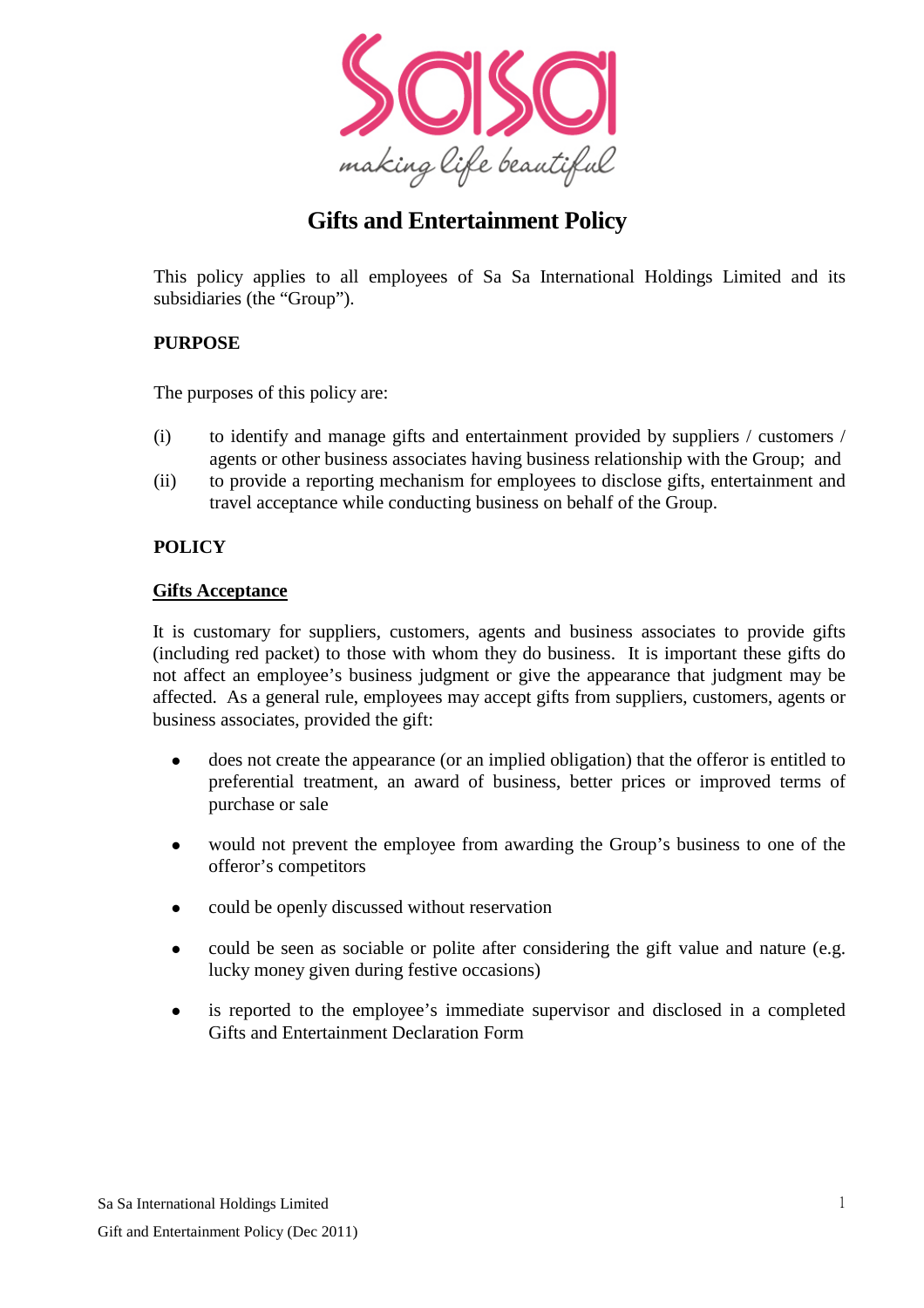

# **Gifts and Entertainment Policy**

This policy applies to all employees of Sa Sa International Holdings Limited and its subsidiaries (the "Group").

#### **PURPOSE**

The purposes of this policy are:

- (i) to identify and manage gifts and entertainment provided by suppliers / customers / agents or other business associates having business relationship with the Group; and
- (ii) to provide a reporting mechanism for employees to disclose gifts, entertainment and travel acceptance while conducting business on behalf of the Group.

# **POLICY**

#### **Gifts Acceptance**

It is customary for suppliers, customers, agents and business associates to provide gifts (including red packet) to those with whom they do business. It is important these gifts do not affect an employee's business judgment or give the appearance that judgment may be affected. As a general rule, employees may accept gifts from suppliers, customers, agents or business associates, provided the gift:

- does not create the appearance (or an implied obligation) that the offeror is entitled to preferential treatment, an award of business, better prices or improved terms of purchase or sale
- would not prevent the employee from awarding the Group's business to one of the offeror's competitors
- could be openly discussed without reservation
- could be seen as sociable or polite after considering the gift value and nature (e.g. lucky money given during festive occasions)
- is reported to the employee's immediate supervisor and disclosed in a completed Gifts and Entertainment Declaration Form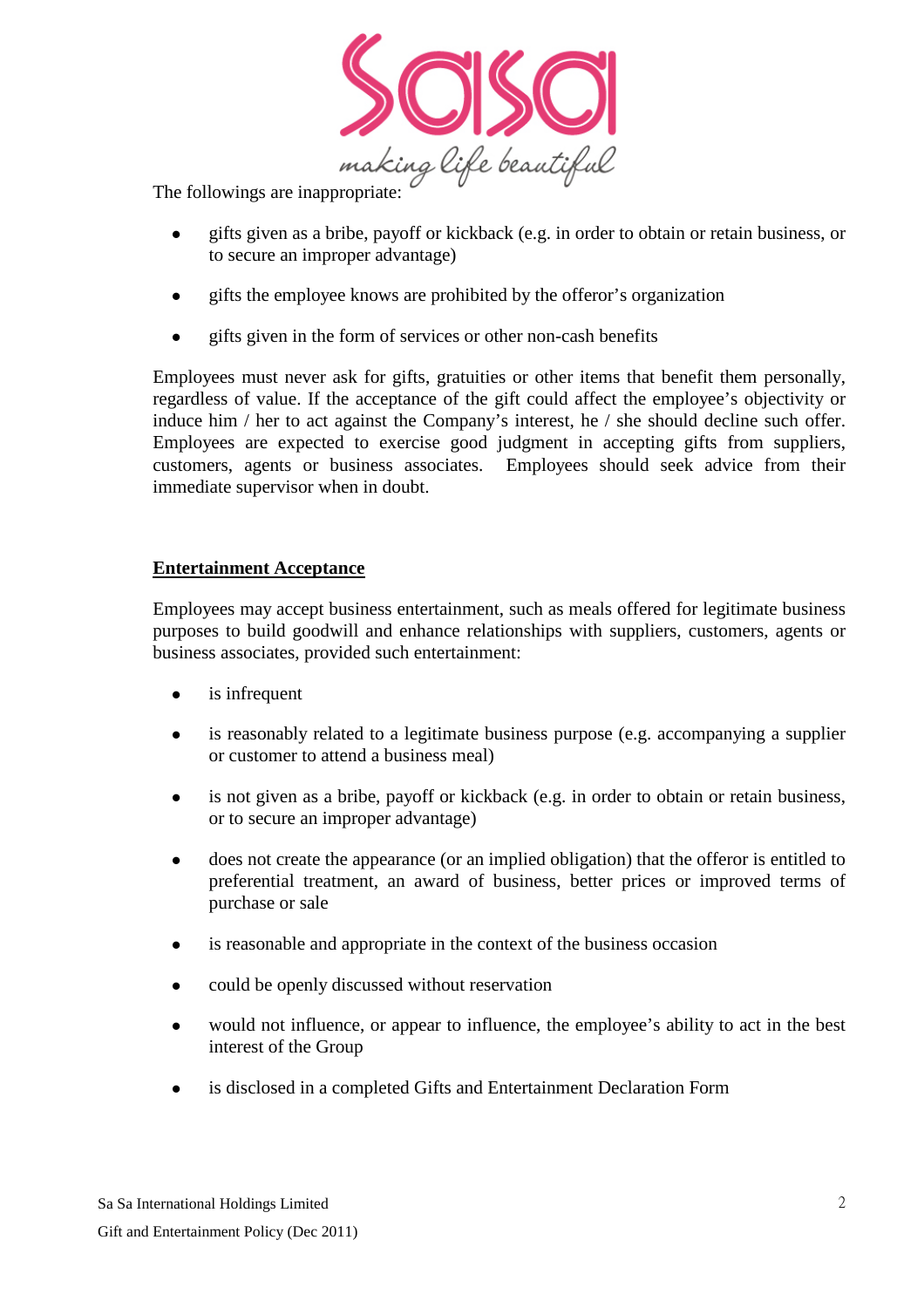

The followings are inappropriate:

- gifts given as a bribe, payoff or kickback (e.g. in order to obtain or retain business, or to secure an improper advantage)
- gifts the employee knows are prohibited by the offeror's organization
- gifts given in the form of services or other non-cash benefits

Employees must never ask for gifts, gratuities or other items that benefit them personally, regardless of value. If the acceptance of the gift could affect the employee's objectivity or induce him / her to act against the Company's interest, he / she should decline such offer. Employees are expected to exercise good judgment in accepting gifts from suppliers, customers, agents or business associates. Employees should seek advice from their immediate supervisor when in doubt.

#### **Entertainment Acceptance**

Employees may accept business entertainment, such as meals offered for legitimate business purposes to build goodwill and enhance relationships with suppliers, customers, agents or business associates, provided such entertainment:

- is infrequent
- is reasonably related to a legitimate business purpose (e.g. accompanying a supplier or customer to attend a business meal)
- is not given as a bribe, payoff or kickback (e.g. in order to obtain or retain business, or to secure an improper advantage)
- does not create the appearance (or an implied obligation) that the offeror is entitled to preferential treatment, an award of business, better prices or improved terms of purchase or sale
- is reasonable and appropriate in the context of the business occasion
- could be openly discussed without reservation
- would not influence, or appear to influence, the employee's ability to act in the best interest of the Group
- is disclosed in a completed Gifts and Entertainment Declaration Form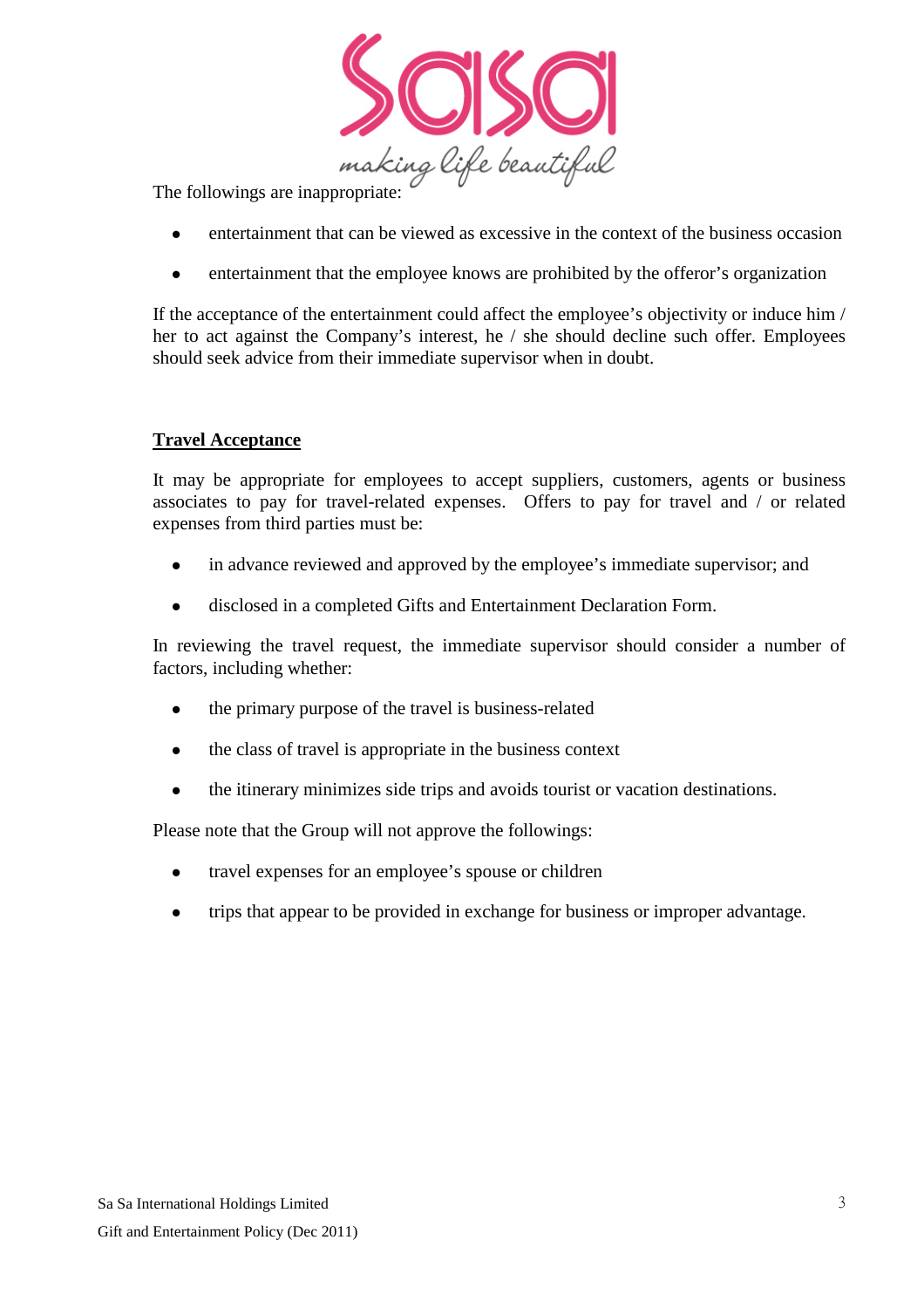

The followings are inappropriate:

- entertainment that can be viewed as excessive in the context of the business occasion
- entertainment that the employee knows are prohibited by the offeror's organization

If the acceptance of the entertainment could affect the employee's objectivity or induce him / her to act against the Company's interest, he / she should decline such offer. Employees should seek advice from their immediate supervisor when in doubt.

#### **Travel Acceptance**

It may be appropriate for employees to accept suppliers, customers, agents or business associates to pay for travel-related expenses. Offers to pay for travel and / or related expenses from third parties must be:

- in advance reviewed and approved by the employee's immediate supervisor; and
- disclosed in a completed Gifts and Entertainment Declaration Form.

In reviewing the travel request, the immediate supervisor should consider a number of factors, including whether:

- the primary purpose of the travel is business-related
- the class of travel is appropriate in the business context
- the itinerary minimizes side trips and avoids tourist or vacation destinations.

Please note that the Group will not approve the followings:

- travel expenses for an employee's spouse or children
- trips that appear to be provided in exchange for business or improper advantage.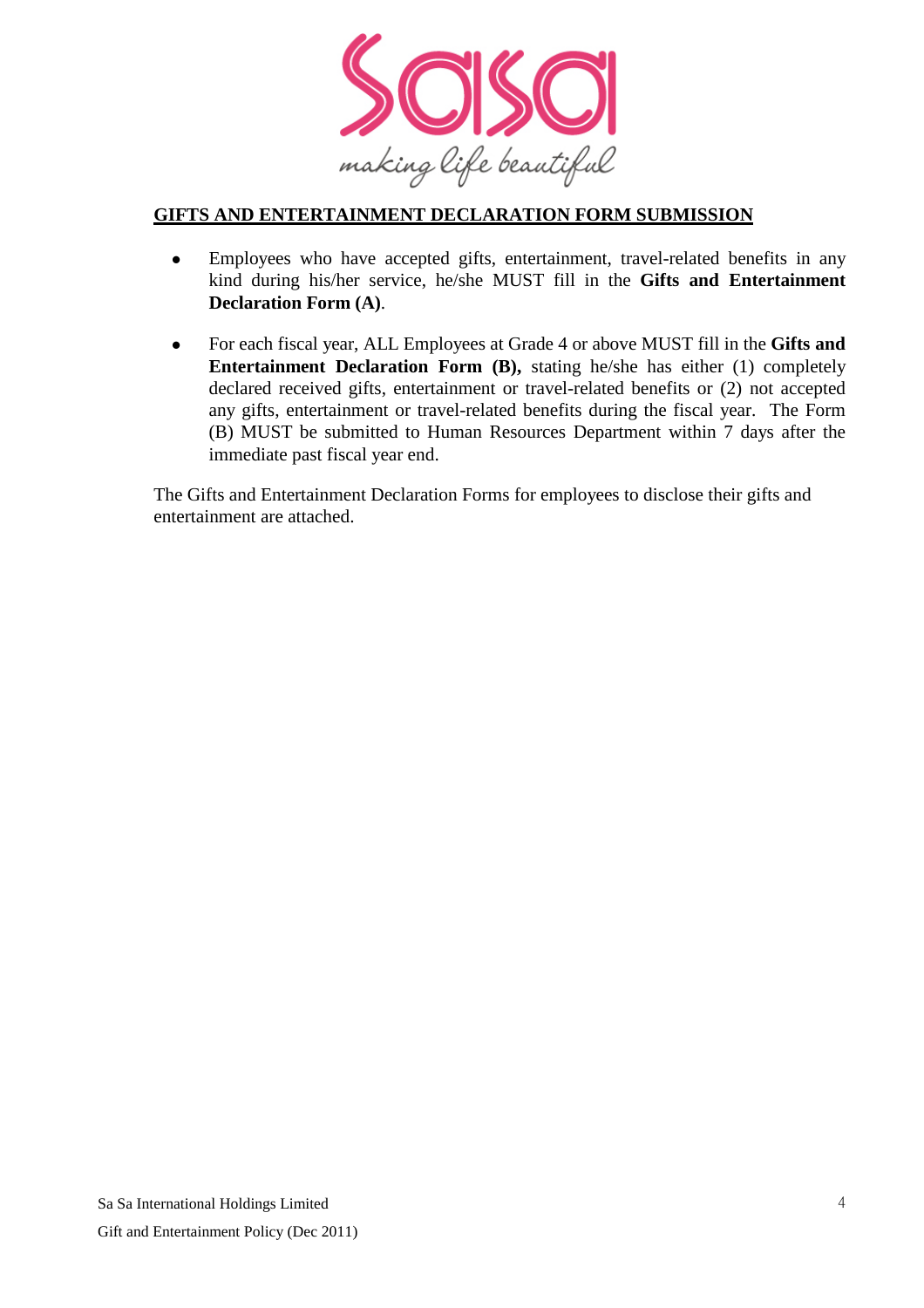

# **GIFTS AND ENTERTAINMENT DECLARATION FORM SUBMISSION**

- Employees who have accepted gifts, entertainment, travel-related benefits in any kind during his/her service, he/she MUST fill in the **Gifts and Entertainment Declaration Form (A)**.
- For each fiscal year, ALL Employees at Grade 4 or above MUST fill in the **Gifts and Entertainment Declaration Form (B),** stating he/she has either (1) completely declared received gifts, entertainment or travel-related benefits or (2) not accepted any gifts, entertainment or travel-related benefits during the fiscal year. The Form (B) MUST be submitted to Human Resources Department within 7 days after the immediate past fiscal year end.

The Gifts and Entertainment Declaration Forms for employees to disclose their gifts and entertainment are attached.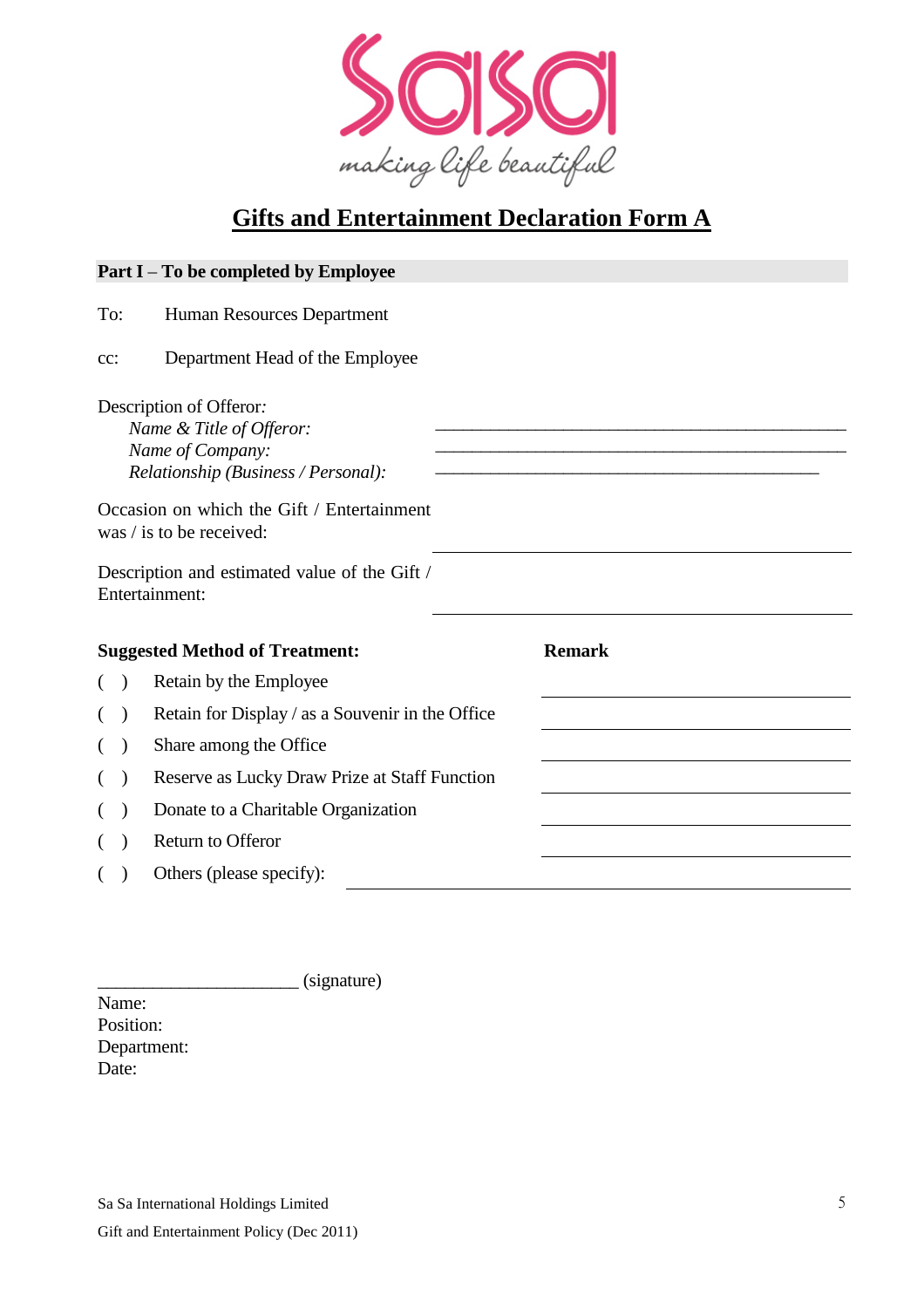

# **Gifts and Entertainment Declaration Form A**

|                                                                                                                |  | Part I – To be completed by Employee                                   |               |  |
|----------------------------------------------------------------------------------------------------------------|--|------------------------------------------------------------------------|---------------|--|
| To:                                                                                                            |  | Human Resources Department                                             |               |  |
| cc:                                                                                                            |  | Department Head of the Employee                                        |               |  |
| Description of Offeror.<br>Name & Title of Offeror:<br>Name of Company:<br>Relationship (Business / Personal): |  |                                                                        |               |  |
|                                                                                                                |  | Occasion on which the Gift / Entertainment<br>was / is to be received: |               |  |
| Description and estimated value of the Gift /<br>Entertainment:                                                |  |                                                                        |               |  |
| <b>Suggested Method of Treatment:</b>                                                                          |  |                                                                        | <b>Remark</b> |  |
| (                                                                                                              |  | Retain by the Employee                                                 |               |  |
|                                                                                                                |  | Retain for Display / as a Souvenir in the Office                       |               |  |
| $\left($                                                                                                       |  | Share among the Office                                                 |               |  |
|                                                                                                                |  | Reserve as Lucky Draw Prize at Staff Function                          |               |  |
|                                                                                                                |  | Donate to a Charitable Organization                                    |               |  |
|                                                                                                                |  | Return to Offeror                                                      |               |  |
|                                                                                                                |  | Others (please specify):                                               |               |  |

\_\_\_\_\_\_\_\_\_\_\_\_\_\_\_\_\_\_\_\_\_\_ (signature) Name: Position: Department: Date: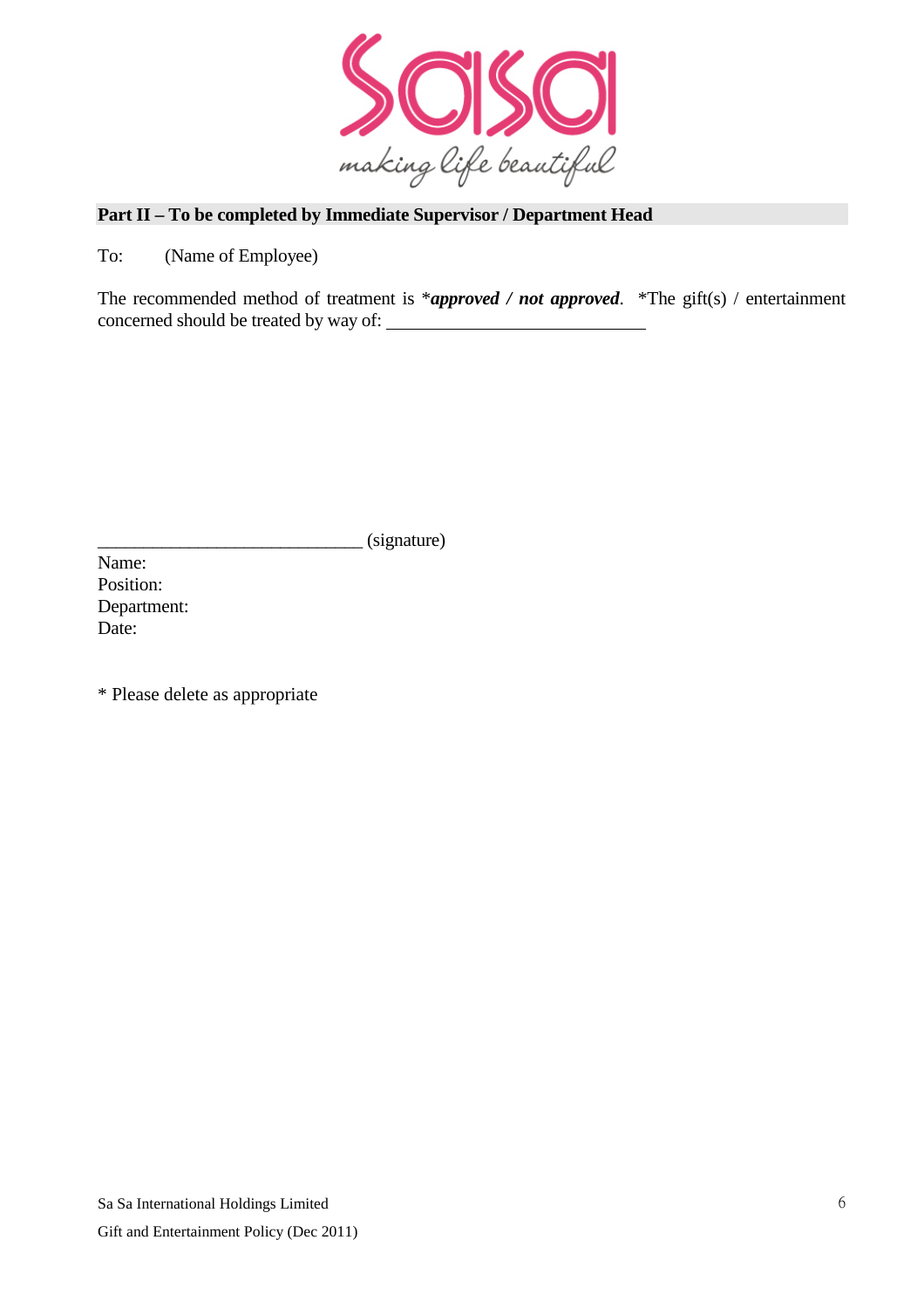

# **Part II – To be completed by Immediate Supervisor / Department Head**

To: (Name of Employee)

The recommended method of treatment is \**approved / not approved.* \*The gift(s) / entertainment concerned should be treated by way of:

\_\_\_\_\_\_\_\_\_\_\_\_\_\_\_\_\_\_\_\_\_\_\_\_\_\_\_\_\_ (signature)

Name: Position: Department: Date:

\* Please delete as appropriate